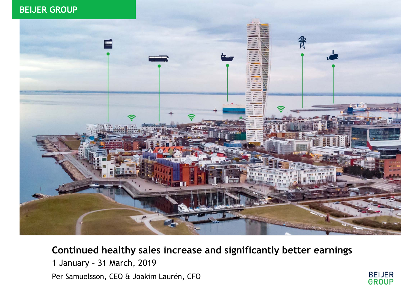#### Area for red "header box" (8,09x1,26) **BEIJER GROUP**



#### **Continued healthy sales increase and significantly better earnings**

**BEIJER<br>GROUP** 

1 January – 31 March, 2019 Per Samuelsson, CEO & Joakim Laurén, CFO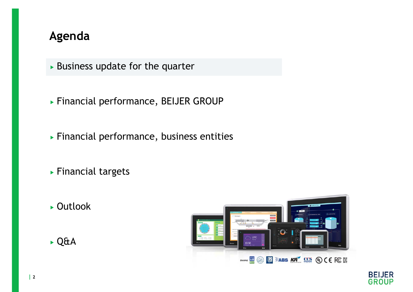- $\triangleright$  Business update for the quarter
- Financial performance, BEIJER GROUP
- Financial performance, business entities
- Financial targets
- ► Outlook





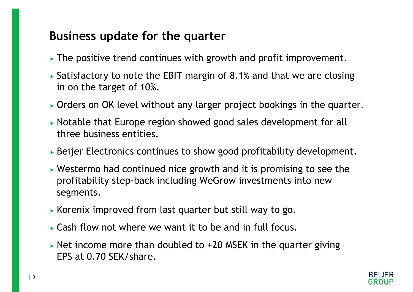### **Business update for the quarter**

- The positive trend continues with growth and profit improvement.
- Satisfactory to note the EBIT margin of 8.1% and that we are closing in on the target of 10%.
- Orders on OK level without any larger project bookings in the quarter.
- Notable that Europe region showed good sales development for all three business entities.
- Beijer Electronics continues to show good profitability development.
- Westermo had continued nice growth and it is promising to see the profitability step-back including WeGrow investments into new segments.
- Korenix improved from last quarter but still way to go.
- Cash flow not where we want it to be and in full focus.
- $\triangleright$  Net income more than doubled to +20 MSEK in the quarter giving EPS at 0.70 SEK/share.

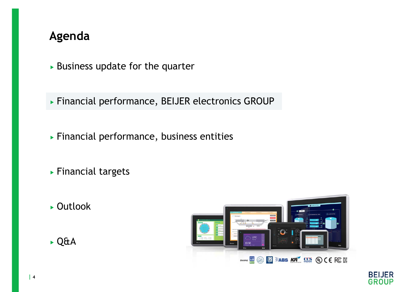$\triangleright$  Business update for the quarter

Financial performance, BEIJER electronics GROUP

- Financial performance, business entities
- Financial targets
- ► Outlook





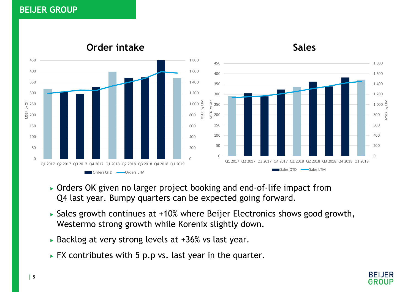#### **BEIJER GROUP**



#### **Order intake**



**Sales**

- Orders OK given no larger project booking and end-of-life impact from Q4 last year. Bumpy quarters can be expected going forward.
- Sales growth continues at +10% where Beijer Electronics shows good growth, Westermo strong growth while Korenix slightly down.
- Backlog at very strong levels at +36% vs last year.
- FX contributes with 5 p.p vs. last year in the quarter.

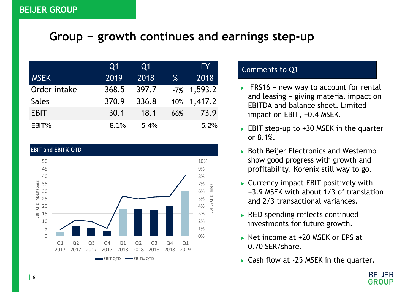### **Group <sup>−</sup> growth continues and earnings step-up**

|              | Q1    | Q1    |      | <b>FY</b>      |
|--------------|-------|-------|------|----------------|
| <b>MSEK</b>  | 2019  | 2018  | $\%$ | 2018           |
| Order intake | 368.5 | 397.7 |      | $-7\%$ 1,593.2 |
| <b>Sales</b> | 370.9 | 336.8 |      | 10% 1,417.2    |
| <b>EBIT</b>  | 30.1  | 18.1  | 66%  | 73.9           |
| EBIT%        | 8.1%  | 5.4%  |      | 5.2%           |



- IFRS16 <sup>−</sup> new way to account for rental and leasing <sup>−</sup> giving material impact on EBITDA and balance sheet. Limited impact on EBIT, +0.4 MSEK.
- ► EBIT step-up to +30 MSEK in the quarter or 8.1%.
- $\triangleright$  Both Beijer Electronics and Westermo show good progress with growth and profitability. Korenix still way to go.
- Currency impact EBIT positively with +3.9 MSEK with about 1/3 of translation and 2/3 transactional variances.
- ► R&D spending reflects continued investments for future growth.
- ► Net income at +20 MSEK or EPS at 0.70 SEK/share.
- ► Cash flow at -25 MSEK in the quarter.

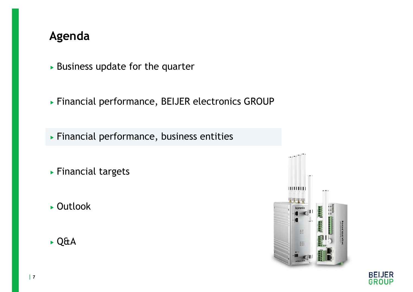- $\triangleright$  Business update for the quarter
- Financial performance, BEIJER electronics GROUP
- Financial performance, business entities
- ▶ Financial targets
- ► Outlook
- Q&A



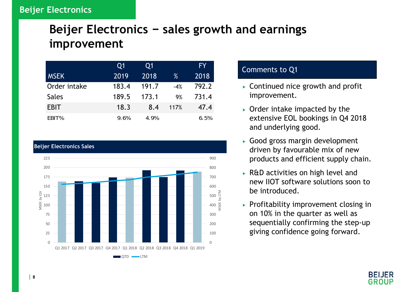# **Beijer Electronics <sup>−</sup> sales growth and earnings improvement**

|              | Q <sub>1</sub> | Q1    |       | FY.   |
|--------------|----------------|-------|-------|-------|
| <b>MSEK</b>  | 2019           | 2018  | $\%$  | 2018  |
| Order intake | 183.4          | 191.7 | $-4%$ | 792.2 |
| <b>Sales</b> | 189.5          | 173.1 | 9%    | 731.4 |
| <b>EBIT</b>  | 18.3           | 8.4   | 117%  | 47.4  |
| EBIT%        | 9.6%           | 4.9%  |       | 6.5%  |



- Continued nice growth and profit improvement.
- $\triangleright$  Order intake impacted by the extensive EOL bookings in Q4 2018 and underlying good.
- Good gross margin development driven by favourable mix of new products and efficient supply chain.
- R&D activities on high level and new IIOT software solutions soon to be introduced.
- $\triangleright$  Profitability improvement closing in on 10% in the quarter as well as sequentially confirming the step-up giving confidence going forward.

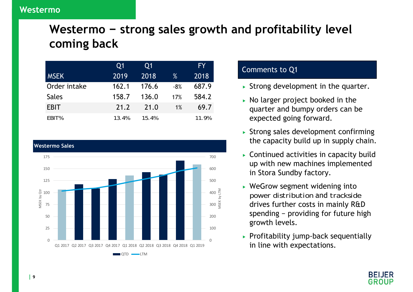# **Westermo − strong sales growth and profitability level coming back**

|              | Q1    | 01    |       | FY.   |
|--------------|-------|-------|-------|-------|
| <b>MSEK</b>  | 2019  | 2018  | %     | 2018  |
| Order intake | 162.1 | 176.6 | $-8%$ | 687.9 |
| <b>Sales</b> | 158.7 | 136.0 | 17%   | 584.2 |
| <b>EBIT</b>  | 21.2  | 21.0  | 1%    | 69.7  |
| EBIT%        | 13.4% | 15.4% |       | 11.9% |



- $\triangleright$  Strong development in the quarter.
- $\triangleright$  No larger project booked in the quarter and bumpy orders can be expected going forward.
- $\triangleright$  Strong sales development confirming the capacity build up in supply chain.
- Continued activities in capacity build up with new machines implemented in Stora Sundby factory.
- WeGrow segment widening into *power distribution* and *trackside* drives further costs in mainly R&D spending − providing for future high growth levels.
- $\triangleright$  Profitability jump-back sequentially in line with expectations.

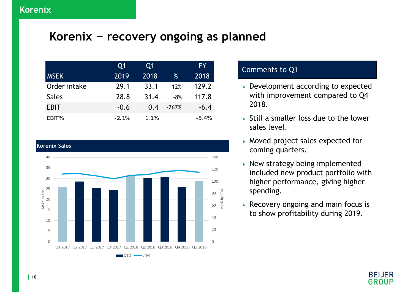#### **Korenix <sup>−</sup> recovery ongoing as planned**

|              | Q1      | Q1   |         | <b>FY</b> |
|--------------|---------|------|---------|-----------|
| <b>MSEK</b>  | 2019    | 2018 | %       | 2018      |
| Order intake | 29.1    | 33.1 | $-12%$  | 129.2     |
| <b>Sales</b> | 28.8    | 31.4 | $-8%$   | 117.8     |
| <b>EBIT</b>  | $-0.6$  | 0.4  | $-267%$ | $-6.4$    |
| EBIT%        | $-2.1%$ | 1.1% |         | $-5.4%$   |



- ► Development according to expected with improvement compared to Q4 2018.
- $\triangleright$  Still a smaller loss due to the lower sales level.
- Moved project sales expected for coming quarters.
- $\blacktriangleright$  New strategy being implemented included new product portfolio with higher performance, giving higher spending.
- Recovery ongoing and main focus is to show profitability during 2019.

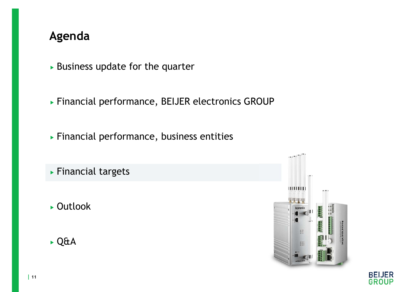- $\triangleright$  Business update for the quarter
- Financial performance, BEIJER electronics GROUP
- Financial performance, business entities
- Financial targets
- ► Outlook
- Q&A



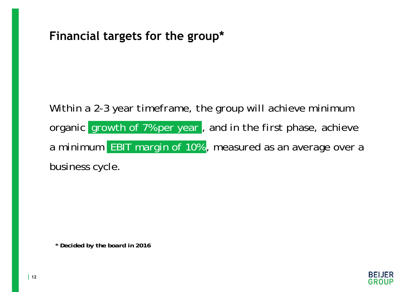#### **Financial targets for the group\***

*Within a 2-3 year timeframe, the group will achieve minimum organic growth of 7% per year , and in the first phase, achieve a minimum EBIT margin of 10% , measured as an average over a business cycle.* 

*\* Decided by the board in 2016*

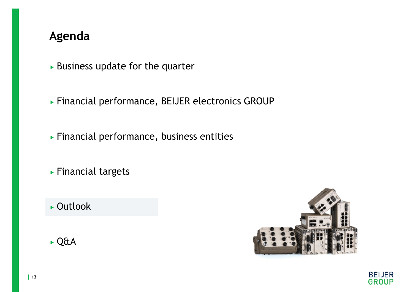- $\triangleright$  Business update for the quarter
- Financial performance, BEIJER electronics GROUP
- Financial performance, business entities
- Financial targets
- ▶ Outlook





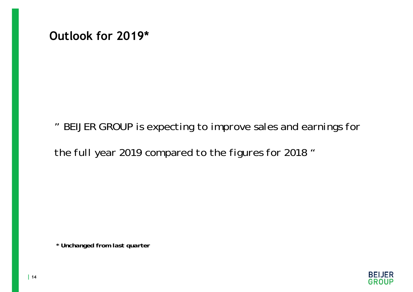**Outlook for 2019\***

*" BEIJER GROUP is expecting to improve sales and earnings for* 

*the full year 2019 compared to the figures for 2018 "*

*\* Unchanged from last quarter*

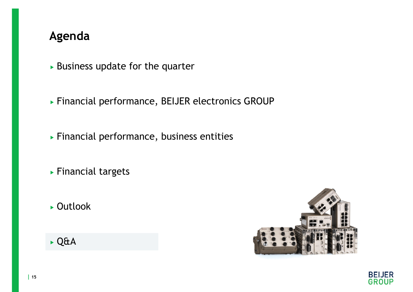- $\triangleright$  Business update for the quarter
- Financial performance, BEIJER electronics GROUP
- Financial performance, business entities
- Financial targets
- ► Outlook